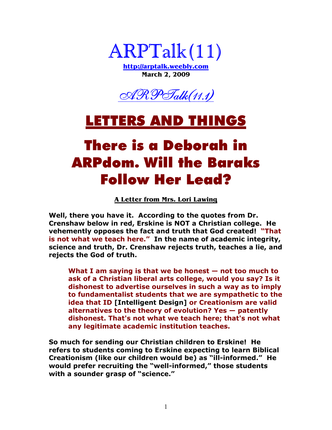

**http://arptalk.weebly.com March 2, 2009** 



#### LETTERS AND THINGS

# There is a Deborah in ARPdom. Will the Baraks Follow Her Lead?

**A Letter from Mrs. Lori Lawing**

**Well, there you have it. According to the quotes from Dr. Crenshaw below in red, Erskine is NOT a Christian college. He vehemently opposes the fact and truth that God created! "That is not what we teach here." In the name of academic integrity, science and truth, Dr. Crenshaw rejects truth, teaches a lie, and rejects the God of truth.** 

**What I am saying is that we be honest — not too much to ask of a Christian liberal arts college, would you say? Is it dishonest to advertise ourselves in such a way as to imply to fundamentalist students that we are sympathetic to the idea that ID [Intelligent Design] or Creationism are valid alternatives to the theory of evolution? Yes — patently dishonest. That's not what we teach here; that's not what any legitimate academic institution teaches.** 

**So much for sending our Christian children to Erskine! He refers to students coming to Erskine expecting to learn Biblical Creationism (like our children would be) as "ill-informed." He would prefer recruiting the "well-informed," those students with a sounder grasp of "science."**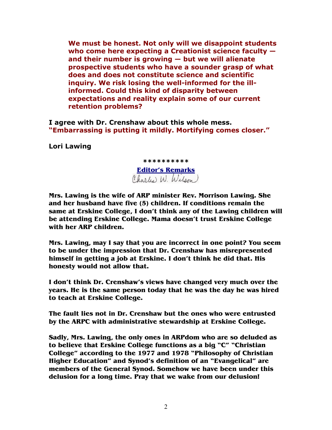**We must be honest. Not only will we disappoint students who come here expecting a Creationist science faculty and their number is growing — but we will alienate prospective students who have a sounder grasp of what does and does not constitute science and scientific inquiry. We risk losing the well-informed for the illinformed. Could this kind of disparity between expectations and reality explain some of our current retention problems?** 

**I agree with Dr. Crenshaw about this whole mess. "Embarrassing is putting it mildly. Mortifying comes closer."**

**Lori Lawing** 

**\*\*\*\*\*\*\*\*\*\* Editor's Remarks**

**Mrs. Lawing is the wife of ARP minister Rev. Morrison Lawing. She and her husband have five (5) children. If conditions remain the same at Erskine College, I don't think any of the Lawing children will be attending Erskine College. Mama doesn't trust Erskine College with her ARP children.** 

**Mrs. Lawing, may I say that you are incorrect in one point? You seem to be under the impression that Dr. Crenshaw has misrepresented himself in getting a job at Erskine. I don't think he did that. His honesty would not allow that.** 

**I don't think Dr. Crenshaw's views have changed very much over the years. He is the same person today that he was the day he was hired to teach at Erskine College.** 

**The fault lies not in Dr. Crenshaw but the ones who were entrusted by the ARPC with administrative stewardship at Erskine College.** 

**Sadly, Mrs. Lawing, the only ones in ARPdom who are so deluded as to believe that Erskine College functions as a big "C" "Christian College" according to the 1977 and 1978 "Philosophy of Christian Higher Education" and Synod's definition of an "Evangelical" are members of the General Synod. Somehow we have been under this delusion for a long time. Pray that we wake from our delusion!**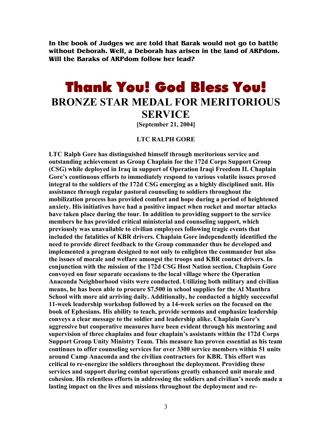**In the book of Judges we are told that Barak would not go to battle without Deborah. Well, a Deborah has arisen in the land of ARPdom. Will the Baraks of ARPdom follow her lead?** 

#### **Thank You! God Bless You! BROZE STAR MEDAL FOR MERITORIOUS SERVICE**

**[September 21, 2004]** 

#### **LTC RALPH GORE**

**LTC Ralph Gore has distinguished himself through meritorious service and outstanding achievement as Group Chaplain for the 172d Corps Support Group (CSG) while deployed in Iraq in support of Operation Iraqi Freedom II. Chaplain Gore's continuous efforts to immediately respond to various volatile issues proved integral to the soldiers of the 172d CSG emerging as a highly disciplined unit. His assistance through regular pastoral counseling to soldiers throughout the mobilization process has provided comfort and hope during a period of heightened anxiety. His initiatives have had a positive impact when rocket and mortar attacks have taken place during the tour. In addition to providing support to the service members he has provided critical ministerial and counseling support, which previously was unavailable to civilian employees following tragic events that included the fatalities of KBR drivers. Chaplain Gore independently identified the need to provide direct feedback to the Group commander thus he developed and implemented a program designed to not only to enlighten the commander but also the issues of morale and welfare amongst the troops and KBR contact drivers. In**  conjunction with the mission of the 172d CSG Host Nation section, Chaplain Gore **convoyed on four separate occasions to the local village where the Operation**  Anaconda Neighborhood visits were conducted. Utilizing both military and civilian **means, he has been able to procure \$7,500 in school supplies for the Al Manthra School with more aid arriving daily. Additionally, he conducted a highly successful 11-week leadership workshop followed by a 14-week series on the focused on the book of Ephesians. His ability to teach, provide sermons and emphasize leadership conveys a clear message to the soldier and leadership alike. Chaplain Gore's aggressive but cooperative measures have been evident through his mentoring and supervision of three chaplains and four chaplain's assistants within the 172d Corps Support Group Unity Ministry Team. This measure has proven essential as his team continues to offer counseling services for over 3300 service members within 51 units around Camp Anaconda and the civilian contractors for KBR. This effort was critical to re-energize the soldiers throughout the deployment. Providing these services and support during combat operations greatly enhanced unit morale and cohesion. His relentless efforts in addressing the soldiers and civilian's needs made a lasting impact on the lives and missions throughout the deployment and re-**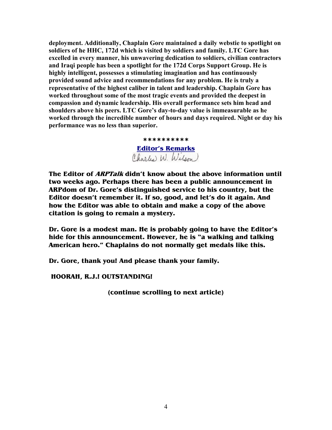**deployment. Additionally, Chaplain Gore maintained a daily webstie to spotlight on soldiers of he HHC, 172d which is visited by soldiers and family. LTC Gore has excelled in every manner, his unwavering dedication to soldiers, civilian contractors and Iraqi people has been a spotlight for the 172d Corps Support Group. He is highly intelligent, possesses a stimulating imagination and has continuously provided sound advice and recommendations for any problem. He is truly a representative of the highest caliber in talent and leadership. Chaplain Gore has worked throughout some of the most tragic events and provided the deepest in compassion and dynamic leadership. His overall performance sets him head and shoulders above his peers. LTC Gore's day-to-day value is immeasurable as he**  worked through the incredible number of hours and days required. Night or day his **performance was no less than superior.** 

> **\*\*\*\*\*\*\*\*\*\* Editor's Remarks**

**The Editor of ARPTalk didn't know about the above information until two weeks ago. Perhaps there has been a public announcement in ARPdom of Dr. Gore's distinguished service to his country, but the Editor doesn't remember it. If so, good, and let's do it again. And how the Editor was able to obtain and make a copy of the above citation is going to remain a mystery.** 

**Dr. Gore is a modest man. He is probably going to have the Editor's hide for this announcement. However, he is "a walking and talking American hero." Chaplains do not normally get medals like this.** 

**Dr. Gore, thank you! And please thank your family.** 

 **HOORAH, R.J.! OUTSTANDING!** 

**(continue scrolling to next article)**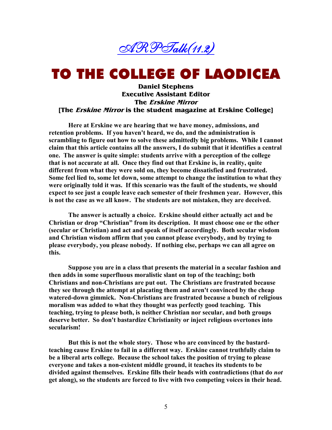

## TO THE COLLEGE OF LAODICEA

**Daniel Stephens Executive Assistant Editor The Erskine Mirror [The Erskine Mirror is the student magazine at Erskine College]**

**Here at Erskine we are hearing that we have money, admissions, and retention problems. If you haven't heard, we do, and the administration is scrambling to figure out how to solve these admittedly big problems. While I cannot claim that this article contains all the answers, I do submit that it identifies a central one. The answer is quite simple: students arrive with a perception of the college that is not accurate at all. Once they find out that Erskine is, in reality, quite different from what they were sold on, they become dissatisfied and frustrated. Some feel lied to, some let down, some attempt to change the institution to what they were originally told it was. If this scenario was the fault of the students, we should expect to see just a couple leave each semester of their freshmen year. However, this is not the case as we all know. The students are not mistaken, they are deceived.** 

 **The answer is actually a choice. Erskine should either actually act and be Christian or drop "Christian" from its description. It must choose one or the other (secular or Christian) and act and speak of itself accordingly. Both secular wisdom and Christian wisdom affirm that you cannot please everybody, and by trying to please everybody, you please nobody. If nothing else, perhaps we can all agree on this.** 

 **Suppose you are in a class that presents the material in a secular fashion and then adds in some superfluous moralistic slant on top of the teaching; both Christians and non-Christians are put out. The Christians are frustrated because they see through the attempt at placating them and aren't convinced by the cheap**  watered-down gimmick. Non-Christians are frustrated because a bunch of religious **moralism was added to what they thought was perfectly good teaching. This teaching, trying to please both, is neither Christian nor secular, and both groups deserve better. So don't bastardize Christianity or inject religious overtones into secularism!** 

 **But this is not the whole story. Those who are convinced by the bastardteaching cause Erskine to fail in a different way. Erskine cannot truthfully claim to be a liberal arts college. Because the school takes the position of trying to please everyone and takes a non-existent middle ground, it teaches its students to be divided against themselves. Erskine fills their heads with contradictions (that do** *not* **get along), so the students are forced to live with two competing voices in their head.**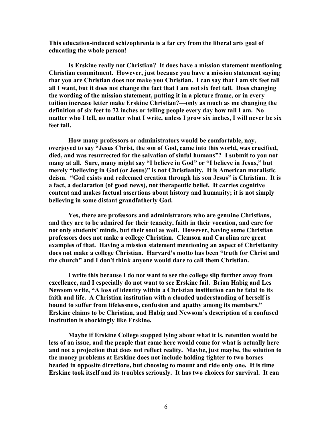**This education-induced schizophrenia is a far cry from the liberal arts goal of educating the whole person!** 

**Is Erskine really not Christian? It does have a mission statement mentioning Christian commitment. However, just because you have a mission statement saying that you are Christian does not make you Christian. I can say that I am six feet tall all I want, but it does not change the fact that I am not six feet tall. Does changing the wording of the mission statement, putting it in a picture frame, or in every tuition increase letter make Erskine Christian?—only as much as me changing the**  definition of six feet to 72 inches or telling people every day how tall I am. No **matter who I tell, no matter what I write, unless I grow six inches, I will never be six feet tall.** 

 **How many professors or administrators would be comfortable, nay, overjoyed to say "Jesus Christ, the son of God, came into this world, was crucified, died, and was resurrected for the salvation of sinful humans"? I submit to you not many at all. Sure, many might say "I believe in God" or "I believe in Jesus," but merely "believing in God (or Jesus)" is not Christianity. It is American moralistic deism. "God exists and redeemed creation through his son Jesus" is Christian. It is a fact, a declaration (of good news), not therapeutic belief. It carries cognitive content and makes factual assertions about history and humanity; it is not simply believing in some distant grandfatherly God.** 

 **Yes, there are professors and administrators who are genuine Christians, and they are to be admired for their tenacity, faith in their vocation, and care for not only students' minds, but their soul as well. However, having some Christian professors does not make a college Christian. Clemson and Carolina are great examples of that. Having a mission statement mentioning an aspect of Christianity does not make a college Christian. Harvard's motto has been "truth for Christ and the church" and I don't think anyone would dare to call them Christian.** 

**I write this because I do not want to see the college slip further away from excellence, and I especially do not want to see Erskine fail. Brian Habig and Les ewsom write, "A loss of identity within a Christian institution can be fatal to its faith and life. A Christian institution with a clouded understanding of herself is bound to suffer from lifelessness, confusion and apathy among its members."**  Erskine claims to be Christian, and Habig and Newsom's description of a confused **institution is shockingly like Erskine.** 

 **Maybe if Erskine College stopped lying about what it is, retention would be less of an issue, and the people that came here would come for what is actually here and not a projection that does not reflect reality. Maybe, just maybe, the solution to the money problems at Erskine does not include holding tighter to two horses headed in opposite directions, but choosing to mount and ride only one. It is time Erskine took itself and its troubles seriously. It has two choices for survival. It can**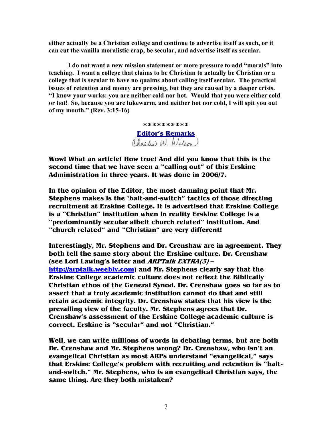**either actually be a Christian college and continue to advertise itself as such, or it can cut the vanilla moralistic crap, be secular, and advertise itself as secular.** 

**I do not want a new mission statement or more pressure to add "morals" into teaching. I want a college that claims to be Christian to actually be Christian or a college that is secular to have no qualms about calling itself secular. The practical issues of retention and money are pressing, but they are caused by a deeper crisis. "I know your works: you are neither cold nor hot. Would that you were either cold or hot! So, because you are lukewarm, and neither hot nor cold, I will spit you out of my mouth." (Rev. 3:15-16)** 

> **\*\*\*\*\*\*\*\*\*\* Editor's Remarks**

**Wow! What an article! How true! And did you know that this is the second time that we have seen a "calling out" of this Erskine Administration in three years. It was done in 2006/7.** 

**In the opinion of the Editor, the most damning point that Mr. Stephens makes is the 'bait-and-switch" tactics of those directing recruitment at Erskine College. It is advertised that Erskine College is a "Christian" institution when in reality Erskine College is a "predominantly secular albeit church related" institution. And "church related" and "Christian" are very different!** 

**Interestingly, Mr. Stephens and Dr. Crenshaw are in agreement. They both tell the same story about the Erskine culture. Dr. Crenshaw (see Lori Lawing's letter and ARPTalk EXTRA(3) – http://arptalk.weebly.com) and Mr. Stephens clearly say that the Erskine College academic culture does not reflect the Biblically Christian ethos of the General Synod. Dr. Crenshaw goes so far as to assert that a truly academic institution cannot do that and still retain academic integrity. Dr. Crenshaw states that his view is the prevailing view of the faculty. Mr. Stephens agrees that Dr. Crenshaw's assessment of the Erskine College academic culture is correct. Erskine is "secular" and not "Christian."** 

**Well, we can write millions of words in debating terms, but are both Dr. Crenshaw and Mr. Stephens wrong? Dr. Crenshaw, who isn't an evangelical Christian as most ARPs understand "evangelical," says that Erskine College's problem with recruiting and retention is "baitand-switch." Mr. Stephens, who is an evangelical Christian says, the same thing. Are they both mistaken?**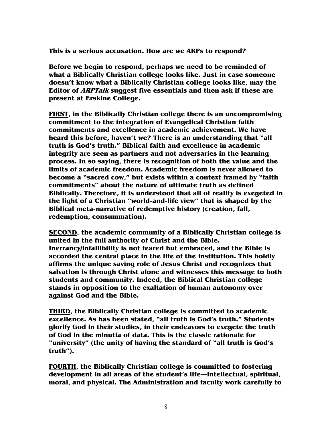**This is a serious accusation. How are we ARPs to respond?** 

**Before we begin to respond, perhaps we need to be reminded of what a Biblically Christian college looks like. Just in case someone doesn't know what a Biblically Christian college looks like, may the Editor of ARPTalk suggest five essentials and then ask if these are present at Erskine College.** 

**FIRST, in the Biblically Christian college there is an uncompromising commitment to the integration of Evangelical Christian faith commitments and excellence in academic achievement. We have heard this before, haven't we? There is an understanding that "all truth is God's truth." Biblical faith and excellence in academic integrity are seen as partners and not adversaries in the learning process. In so saying, there is recognition of both the value and the limits of academic freedom. Academic freedom is never allowed to become a "sacred cow," but exists within a context framed by "faith commitments" about the nature of ultimate truth as defined Biblically. Therefore, it is understood that all of reality is exegeted in the light of a Christian "world-and-life view" that is shaped by the Biblical meta-narrative of redemptive history (creation, fall, redemption, consummation).** 

**SECOND, the academic community of a Biblically Christian college is united in the full authority of Christ and the Bible. Inerrancy/infallibility is not feared but embraced, and the Bible is accorded the central place in the life of the institution. This boldly affirms the unique saving role of Jesus Christ and recognizes that salvation is through Christ alone and witnesses this message to both students and community. Indeed, the Biblical Christian college stands in opposition to the exaltation of human autonomy over against God and the Bible.** 

**THIRD, the Biblically Christian college is committed to academic excellence. As has been stated, "all truth is God's truth." Students glorify God in their studies, in their endeavors to exegete the truth of God in the minutia of data. This is the classic rationale for "university" (the unity of having the standard of "all truth is God's truth").** 

**FOURTH, the Biblically Christian college is committed to fostering development in all areas of the student's life—intellectual, spiritual, moral, and physical. The Administration and faculty work carefully to**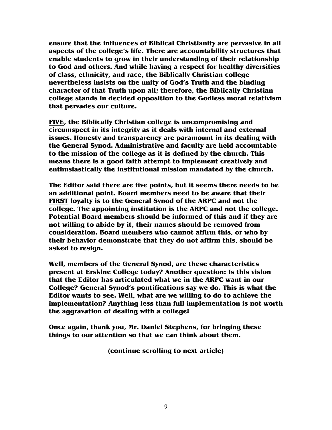**ensure that the influences of Biblical Christianity are pervasive in all aspects of the college's life. There are accountability structures that enable students to grow in their understanding of their relationship to God and others. And while having a respect for healthy diversities of class, ethnicity, and race, the Biblically Christian college nevertheless insists on the unity of God's Truth and the binding character of that Truth upon all; therefore, the Biblically Christian college stands in decided opposition to the Godless moral relativism that pervades our culture.** 

**FIVE, the Biblically Christian college is uncompromising and circumspect in its integrity as it deals with internal and external issues. Honesty and transparency are paramount in its dealing with the General Synod. Administrative and faculty are held accountable to the mission of the college as it is defined by the church. This means there is a good faith attempt to implement creatively and enthusiastically the institutional mission mandated by the church.** 

**The Editor said there are five points, but it seems there needs to be an additional point. Board members need to be aware that their FIRST loyalty is to the General Synod of the ARPC and not the college. The appointing institution is the ARPC and not the college. Potential Board members should be informed of this and if they are not willing to abide by it, their names should be removed from consideration. Board members who cannot affirm this, or who by their behavior demonstrate that they do not affirm this, should be asked to resign.** 

**Well, members of the General Synod, are these characteristics present at Erskine College today? Another question: Is this vision that the Editor has articulated what we in the ARPC want in our College? General Synod's pontifications say we do. This is what the Editor wants to see. Well, what are we willing to do to achieve the implementation? Anything less than full implementation is not worth the aggravation of dealing with a college!** 

**Once again, thank you, Mr. Daniel Stephens, for bringing these things to our attention so that we can think about them.** 

**(continue scrolling to next article)**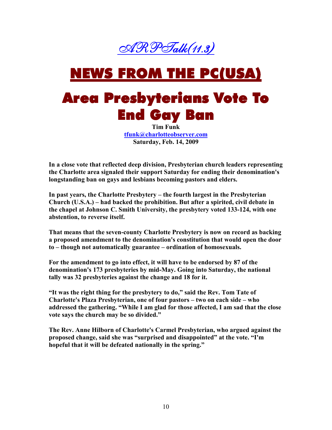

# NEWS FROM THE PC(USA)

### Area Presbyterians Vote To **End Gay Ban**

**Tim Funk tfunk@charlotteobserver.com Saturday, Feb. 14, 2009** 

**In a close vote that reflected deep division, Presbyterian church leaders representing the Charlotte area signaled their support Saturday for ending their denomination's longstanding ban on gays and lesbians becoming pastors and elders.** 

**In past years, the Charlotte Presbytery – the fourth largest in the Presbyterian Church (U.S.A.) – had backed the prohibition. But after a spirited, civil debate in the chapel at Johnson C. Smith University, the presbytery voted 133-124, with one abstention, to reverse itself.** 

**That means that the seven-county Charlotte Presbytery is now on record as backing a proposed amendment to the denomination's constitution that would open the door to – though not automatically guarantee – ordination of homosexuals.** 

**For the amendment to go into effect, it will have to be endorsed by 87 of the denomination's 173 presbyteries by mid-May. Going into Saturday, the national tally was 32 presbyteries against the change and 18 for it.** 

**"It was the right thing for the presbytery to do," said the Rev. Tom Tate of Charlotte's Plaza Presbyterian, one of four pastors – two on each side – who addressed the gathering. "While I am glad for those affected, I am sad that the close vote says the church may be so divided."** 

**The Rev. Anne Hilborn of Charlotte's Carmel Presbyterian, who argued against the proposed change, said she was "surprised and disappointed" at the vote. "I'm hopeful that it will be defeated nationally in the spring."**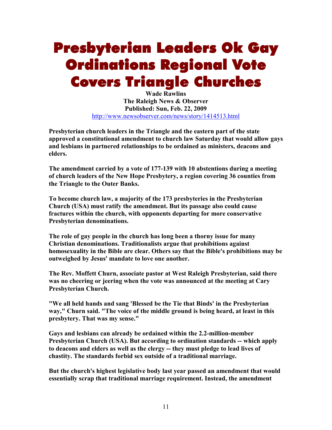## Presbyterian Leaders Ok Gay Ordinations Regional Vote **Covers Triangle Churches**

**Wade Rawlins The Raleigh News & Observer Published: Sun, Feb. 22, 2009**  http://www.newsobserver.com/news/story/1414513.html

**Presbyterian church leaders in the Triangle and the eastern part of the state approved a constitutional amendment to church law Saturday that would allow gays and lesbians in partnered relationships to be ordained as ministers, deacons and elders.** 

**The amendment carried by a vote of 177-139 with 10 abstentions during a meeting**  of church leaders of the New Hope Presbytery, a region covering 36 counties from **the Triangle to the Outer Banks.** 

**To become church law, a majority of the 173 presbyteries in the Presbyterian Church (USA) must ratify the amendment. But its passage also could cause fractures within the church, with opponents departing for more conservative Presbyterian denominations.** 

**The role of gay people in the church has long been a thorny issue for many Christian denominations. Traditionalists argue that prohibitions against homosexuality in the Bible are clear. Others say that the Bible's prohibitions may be outweighed by Jesus' mandate to love one another.** 

**The Rev. Moffett Churn, associate pastor at West Raleigh Presbyterian, said there was no cheering or jeering when the vote was announced at the meeting at Cary Presbyterian Church.** 

**"We all held hands and sang 'Blessed be the Tie that Binds' in the Presbyterian way," Churn said. "The voice of the middle ground is being heard, at least in this presbytery. That was my sense."** 

**Gays and lesbians can already be ordained within the 2.2-million-member Presbyterian Church (USA). But according to ordination standards -- which apply to deacons and elders as well as the clergy -- they must pledge to lead lives of chastity. The standards forbid sex outside of a traditional marriage.** 

**But the church's highest legislative body last year passed an amendment that would essentially scrap that traditional marriage requirement. Instead, the amendment**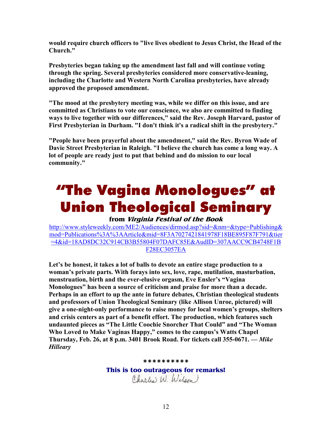**would require church officers to "live lives obedient to Jesus Christ, the Head of the Church."** 

**Presbyteries began taking up the amendment last fall and will continue voting through the spring. Several presbyteries considered more conservative-leaning,**  including the Charlotte and Western North Carolina presbyteries, have already **approved the proposed amendment.** 

**"The mood at the presbytery meeting was, while we differ on this issue, and are committed as Christians to vote our conscience, we also are committed to finding ways to live together with our differences," said the Rev. Joseph Harvard, pastor of First Presbyterian in Durham. "I don't think it's a radical shift in the presbytery."** 

**"People have been prayerful about the amendment," said the Rev. Byron Wade of Davie Street Presbyterian in Raleigh. "I believe the church has come a long way. A lot of people are ready just to put that behind and do mission to our local community."** 

# "The Vagina Monologues" at Union Theological Seminary

#### **from Virginia Festival of the Book**

http://www.styleweekly.com/ME2/Audiences/dirmod.asp?sid=&nm=&type=Publishing& mod=Publications%3A%3AArticle&mid=8F3A7027421841978F18BE895F87F791&tier =4&id=18AD8DC32C914CB3B55804F07DAFC85E&AudID=307AACC9CB4748F1B F28EC3057EA

**Let's be honest, it takes a lot of balls to devote an entire stage production to a woman's private parts. With forays into sex, love, rape, mutilation, masturbation, menstruation, birth and the ever-elusive orgasm, Eve Ensler's "Vagina Monologues" has been a source of criticism and praise for more than a decade. Perhaps in an effort to up the ante in future debates, Christian theological students and professors of Union Theological Seminary (like Allison Unroe, pictured) will give a one-night-only performance to raise money for local women's groups, shelters and crisis centers as part of a benefit effort. The production, which features such undaunted pieces as "The Little Coochie Snorcher That Could" and "The Woman Who Loved to Make Vaginas Happy," comes to the campus's Watts Chapel Thursday, Feb. 26, at 8 p.m. 3401 Brook Road. For tickets call 355-0671.** *— Mike Hilleary*

#### **\*\*\*\*\*\*\*\*\*\***

**This is too outrageous for remarks!** Charles W. Wilson)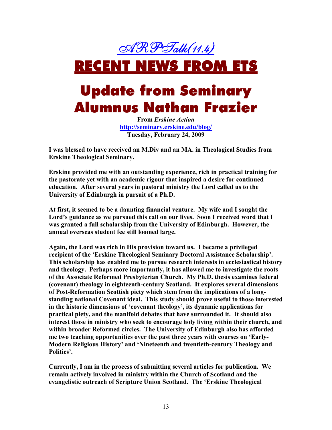ARPTalk(11.4)

## RECENT NEWS FROM ETS

### Update from Seminary Alumnus Nathan Frazier

**From** *Erskine Action*  **http://seminary.erskine.edu/blog/ Tuesday, February 24, 2009** 

**I was blessed to have received an M.Div and an MA. in Theological Studies from Erskine Theological Seminary.** 

**Erskine provided me with an outstanding experience, rich in practical training for the pastorate yet with an academic rigour that inspired a desire for continued education. After several years in pastoral ministry the Lord called us to the University of Edinburgh in pursuit of a Ph.D.** 

**At first, it seemed to be a daunting financial venture. My wife and I sought the Lord's guidance as we pursued this call on our lives. Soon I received word that I was granted a full scholarship from the University of Edinburgh. However, the annual overseas student fee still loomed large.** 

**Again, the Lord was rich in His provision toward us. I became a privileged recipient of the 'Erskine Theological Seminary Doctoral Assistance Scholarship'. This scholarship has enabled me to pursue research interests in ecclesiastical history and theology. Perhaps more importantly, it has allowed me to investigate the roots of the Associate Reformed Presbyterian Church. My Ph.D. thesis examines federal (covenant) theology in eighteenth-century Scotland. It explores several dimensions of Post-Reformation Scottish piety which stem from the implications of a longstanding national Covenant ideal. This study should prove useful to those interested in the historic dimensions of 'covenant theology', its dynamic applications for practical piety, and the manifold debates that have surrounded it. It should also interest those in ministry who seek to encourage holy living within their church, and within broader Reformed circles. The University of Edinburgh also has afforded me two teaching opportunities over the past three years with courses on 'Early-Modern Religious History' and 'Nineteenth and twentieth-century Theology and Politics'.** 

**Currently, I am in the process of submitting several articles for publication. We remain actively involved in ministry within the Church of Scotland and the evangelistic outreach of Scripture Union Scotland. The 'Erskine Theological**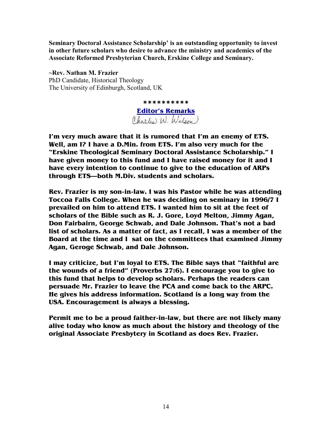**Seminary Doctoral Assistance Scholarship' is an outstanding opportunity to invest in other future scholars who desire to advance the ministry and academics of the Associate Reformed Presbyterian Church, Erskine College and Seminary.** 

 $\sim$ Rev. Nathan M. Frazier PhD Candidate, Historical Theology The University of Edinburgh, Scotland, UK

> **\*\*\*\*\*\*\*\*\*\* Editor's Remarks**

**I'm very much aware that it is rumored that I'm an enemy of ETS. Well, am I? I have a D.Min. from ETS. I'm also very much for the "Erskine Theological Seminary Doctoral Assistance Scholarship." I have given money to this fund and I have raised money for it and I have every intention to continue to give to the education of ARPs through ETS—both M.Div. students and scholars.** 

**Rev. Frazier is my son-in-law. I was his Pastor while he was attending Toccoa Falls College. When he was deciding on seminary in 1996/7 I prevailed on him to attend ETS. I wanted him to sit at the feet of scholars of the Bible such as R. J. Gore, Loyd Melton, Jimmy Agan, Don Fairbairn, George Schwab, and Dale Johnson. That's not a bad list of scholars. As a matter of fact, as I recall, I was a member of the Board at the time and I sat on the committees that examined Jimmy Agan, Geroge Schwab, and Dale Johnson.** 

**I may criticize, but I'm loyal to ETS. The Bible says that "faithful are the wounds of a friend" (Proverbs 27:6). I encourage you to give to this fund that helps to develop scholars. Perhaps the readers can persuade Mr. Frazier to leave the PCA and come back to the ARPC. He gives his address information. Scotland is a long way from the USA. Encouragement is always a blessing.** 

**Permit me to be a proud faither-in-law, but there are not likely many alive today who know as much about the history and theology of the original Associate Presbytery in Scotland as does Rev. Frazier.**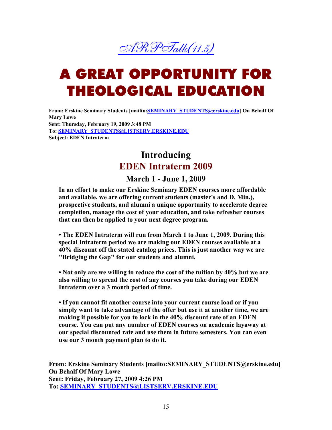

# A GREAT OPPORTUNITY FOR THEOLOGICAL EDUCATION

From: Erskine Seminary Students [mailto: **SEMINARY\_STUDENTS@erskine.edu**] On Behalf Of **Mary Lowe Sent: Thursday, February 19, 2009 3:48 PM**  To: **SEMINARY\_STUDENTS@LISTSERV.ERSKINE.EDU Subject: EDEN Intraterm** 

#### **Introducing EDEN Intraterm 2009**

#### **March 1 - June 1, 2009**

In an effort to make our Erskine Seminary EDEN courses more affordable **and available, we are offering current students (master's and D. Min.), prospective students, and alumni a unique opportunity to accelerate degree completion, manage the cost of your education, and take refresher courses that can then be applied to your next degree program.** 

• The EDEN Intraterm will run from March 1 to June 1, 2009. During this special Intraterm period we are making our EDEN courses available at a **40% discount off the stated catalog prices. This is just another way we are "Bridging the Gap" for our students and alumni.** 

• Not only are we willing to reduce the cost of the tuition by 40% but we are **also willing to spread the cost of any courses you take during our EDE Intraterm over a 3 month period of time.** 

**• If you cannot fit another course into your current course load or if you simply want to take advantage of the offer but use it at another time, we are**  making it possible for you to lock in the 40% discount rate of an EDEN course. You can put any number of EDEN courses on academic layaway at **our special discounted rate and use them in future semesters. You can even use our 3 month payment plan to do it.** 

**From: Erskine Seminary Students [mailto:SEMIARY\_STUDETS@erskine.edu] On Behalf Of Mary Lowe Sent: Friday, February 27, 2009 4:26 PM To: SEMINARY\_STUDENTS@LISTSERV.ERSKINE.EDU**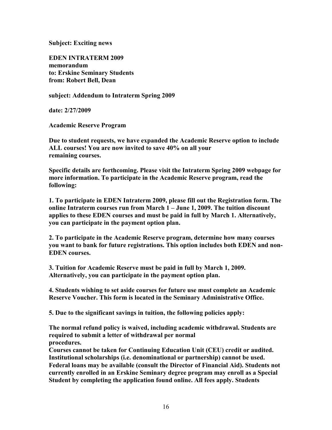**Subject: Exciting news** 

**EDEN INTRATERM 2009 memorandum to: Erskine Seminary Students from: Robert Bell, Dean** 

**subject: Addendum to Intraterm Spring 2009** 

**date: 2/27/2009** 

**Academic Reserve Program** 

**Due to student requests, we have expanded the Academic Reserve option to include ALL courses! You are now invited to save 40% on all your remaining courses.** 

**Specific details are forthcoming. Please visit the Intraterm Spring 2009 webpage for more information. To participate in the Academic Reserve program, read the following:** 

**1. To participate in EDEN Intraterm 2009, please fill out the Registration form. The online Intraterm courses run from March 1 – June 1, 2009. The tuition discount**  applies to these EDEN courses and must be paid in full by March 1. Alternatively, **you can participate in the payment option plan.** 

**2. To participate in the Academic Reserve program, determine how many courses**  you want to bank for future registrations. This option includes both EDEN and non-**EDEN** courses.

**3. Tuition for Academic Reserve must be paid in full by March 1, 2009. Alternatively, you can participate in the payment option plan.** 

**4. Students wishing to set aside courses for future use must complete an Academic Reserve Voucher. This form is located in the Seminary Administrative Office.** 

**5. Due to the significant savings in tuition, the following policies apply:** 

**The normal refund policy is waived, including academic withdrawal. Students are required to submit a letter of withdrawal per normal procedures.** 

**Courses cannot be taken for Continuing Education Unit (CEU) credit or audited. Institutional scholarships (i.e. denominational or partnership) cannot be used. Federal loans may be available (consult the Director of Financial Aid). Students not currently enrolled in an Erskine Seminary degree program may enroll as a Special Student by completing the application found online. All fees apply. Students**